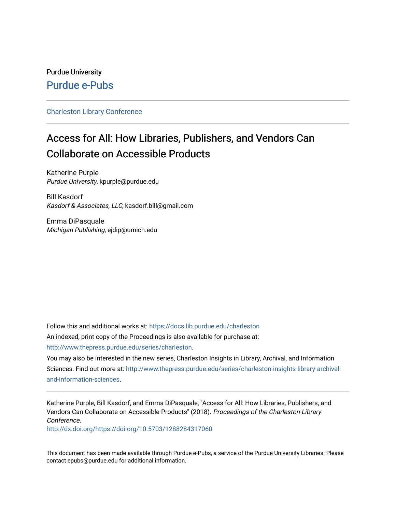## Purdue University [Purdue e-Pubs](https://docs.lib.purdue.edu/)

#### [Charleston Library Conference](https://docs.lib.purdue.edu/charleston)

# Access for All: How Libraries, Publishers, and Vendors Can Collaborate on Accessible Products

Katherine Purple Purdue University, kpurple@purdue.edu

Bill Kasdorf Kasdorf & Associates, LLC, kasdorf.bill@gmail.com

Emma DiPasquale Michigan Publishing, ejdip@umich.edu

Follow this and additional works at: [https://docs.lib.purdue.edu/charleston](https://docs.lib.purdue.edu/charleston?utm_source=docs.lib.purdue.edu%2Fcharleston%2F2018%2Fscholarlycommunication%2F8&utm_medium=PDF&utm_campaign=PDFCoverPages)  An indexed, print copy of the Proceedings is also available for purchase at:

[http://www.thepress.purdue.edu/series/charleston.](http://www.thepress.purdue.edu/series/charleston)

You may also be interested in the new series, Charleston Insights in Library, Archival, and Information Sciences. Find out more at: [http://www.thepress.purdue.edu/series/charleston-insights-library-archival](http://www.thepress.purdue.edu/series/charleston-insights-library-archival-and-information-sciences)[and-information-sciences](http://www.thepress.purdue.edu/series/charleston-insights-library-archival-and-information-sciences).

Katherine Purple, Bill Kasdorf, and Emma DiPasquale, "Access for All: How Libraries, Publishers, and Vendors Can Collaborate on Accessible Products" (2018). Proceedings of the Charleston Library Conference.

<http://dx.doi.org/https://doi.org/10.5703/1288284317060>

This document has been made available through Purdue e-Pubs, a service of the Purdue University Libraries. Please contact epubs@purdue.edu for additional information.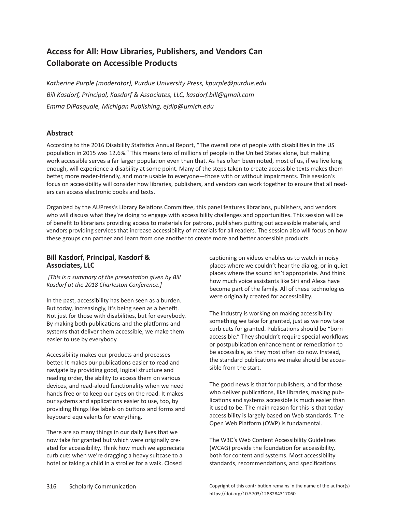## **Access for All: How Libraries, Publishers, and Vendors Can Collaborate on Accessible Products**

*Katherine Purple (moderator), Purdue University Press, kpurple@purdue.edu Bill Kasdorf, Principal, Kasdorf & Associates, LLC, kasdorf.bill@gmail.com Emma DiPasquale, Michigan Publishing, ejdip@umich.edu*

### **Abstract**

According to the 2016 Disability Statistics Annual Report, "The overall rate of people with disabilities in the US population in 2015 was 12.6%." This means tens of millions of people in the United States alone, but making work accessible serves a far larger population even than that. As has often been noted, most of us, if we live long enough, will experience a disability at some point. Many of the steps taken to create accessible texts makes them better, more reader-friendly, and more usable to everyone—those with or without impairments. This session's focus on accessibility will consider how libraries, publishers, and vendors can work together to ensure that all readers can access electronic books and texts.

Organized by the AUPress's Library Relations Committee, this panel features librarians, publishers, and vendors who will discuss what they're doing to engage with accessibility challenges and opportunities. This session will be of benefit to librarians providing access to materials for patrons, publishers putting out accessible materials, and vendors providing services that increase accessibility of materials for all readers. The session also will focus on how these groups can partner and learn from one another to create more and better accessible products.

#### **Bill Kasdorf, Principal, Kasdorf & Associates, LLC**

 *[This is a summary of the presentation given by Bill Kasdorf at the 2018 Charleston Conference.]*

In the past, accessibility has been seen as a burden. But today, increasingly, it's being seen as a benefit. Not just for those with disabilities, but for everybody. By making both publications and the platforms and systems that deliver them accessible, we make them easier to use by everybody.

Accessibility makes our products and processes better. It makes our publications easier to read and navigate by providing good, logical structure and reading order, the ability to access them on various devices, and read-aloud functionality when we need hands free or to keep our eyes on the road. It makes our systems and applications easier to use, too, by providing things like labels on buttons and forms and keyboard equivalents for everything.

There are so many things in our daily lives that we now take for granted but which were originally created for accessibility. Think how much we appreciate curb cuts when we're dragging a heavy suitcase to a hotel or taking a child in a stroller for a walk. Closed

captioning on videos enables us to watch in noisy places where we couldn't hear the dialog, or in quiet places where the sound isn't appropriate. And think how much voice assistants like Siri and Alexa have become part of the family. All of these technologies were originally created for accessibility.

The industry is working on making accessibility something we take for granted, just as we now take curb cuts for granted. Publications should be "born accessible." They shouldn't require special workflows or postpublication enhancement or remediation to be accessible, as they most often do now. Instead, the standard publications we make should be accessible from the start.

The good news is that for publishers, and for those who deliver publications, like libraries, making publications and systems accessible is much easier than it used to be. The main reason for this is that today accessibility is largely based on Web standards. The Open Web Platform (OWP) is fundamental.

The W3C's Web Content Accessibility Guidelines (WCAG) provide the foundation for accessibility, both for content and systems. Most accessibility standards, recommendations, and specifications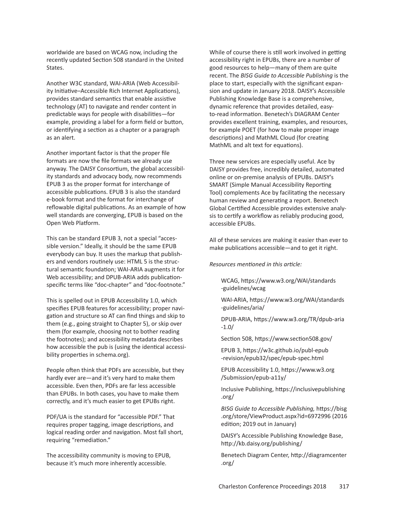worldwide are based on WCAG now, including the recently updated Section 508 standard in the United States.

Another W3C standard, WAI-ARIA (Web Accessibility Initiative–Accessible Rich Internet Applications), provides standard semantics that enable assistive technology (AT) to navigate and render content in predictable ways for people with disabilities—for example, providing a label for a form field or button, or identifying a section as a chapter or a paragraph as an alert.

Another important factor is that the proper file formats are now the file formats we already use anyway. The DAISY Consortium, the global accessibility standards and advocacy body, now recommends EPUB 3 as the proper format for interchange of accessible publications. EPUB 3 is also the standard e-book format and the format for interchange of reflowable digital publications. As an example of how well standards are converging, EPUB is based on the Open Web Platform.

This can be standard EPUB 3, not a special "accessible version." Ideally, it should be the same EPUB everybody can buy. It uses the markup that publishers and vendors routinely use: HTML 5 is the structural semantic foundation; WAI-ARIA augments it for Web accessibility; and DPUB-ARIA adds publicationspecific terms like "doc-chapter" and "doc-footnote."

This is spelled out in EPUB Accessibility 1.0, which specifies EPUB features for accessibility; proper navigation and structure so AT can find things and skip to them (e.g., going straight to Chapter 5), or skip over them (for example, choosing not to bother reading the footnotes); and accessibility metadata describes how accessible the pub is (using the identical accessibility properties in schema.org).

People often think that PDFs are accessible, but they hardly ever are—and it's very hard to make them accessible. Even then, PDFs are far less accessible than EPUBs. In both cases, you have to make them correctly, and it's much easier to get EPUBs right.

PDF/UA is the standard for "accessible PDF." That requires proper tagging, image descriptions, and logical reading order and navigation. Most fall short, requiring "remediation."

The accessibility community is moving to EPUB, because it's much more inherently accessible.

While of course there is still work involved in getting accessibility right in EPUBs, there are a number of good resources to help—many of them are quite recent. The *BISG Guide to Accessible Publishing* is the place to start, especially with the significant expansion and update in January 2018. DAISY's Accessible Publishing Knowledge Base is a comprehensive, dynamic reference that provides detailed, easyto-read information. Benetech's DIAGRAM Center provides excellent training, examples, and resources, for example POET (for how to make proper image descriptions) and MathML Cloud (for creating MathML and alt text for equations).

Three new services are especially useful. Ace by DAISY provides free, incredibly detailed, automated online or on-premise analysis of EPUBs. DAISY's SMART (Simple Manual Accessibility Reporting Tool) complements Ace by facilitating the necessary human review and generating a report. Benetech Global Certified Accessible provides extensive analysis to certify a workflow as reliably producing good, accessible EPUBs.

All of these services are making it easier than ever to make publications accessible—and to get it right.

*Resources mentioned in this article:*

WCAG, https://www.w3.org/WAI/standards -guidelines/wcag

WAI-ARIA, https://www.w3.org/WAI/standards -guidelines/aria/

DPUB-ARIA, https://www.w3.org/TR/dpub-aria -1.0/

Section 508, https://www.section508.gov/

EPUB 3, https://w3c.github.io/publ-epub -revision/epub32/spec/epub-spec.html

EPUB Accessibility 1.0, https://www.w3.org /Submission/epub-a11y/

Inclusive Publishing, https://inclusivepublishing .org/

*BISG Guide to Accessible Publishing,* https://bisg .org/store/ViewProduct.aspx?id=6972996 (2016 edition; 2019 out in January)

DAISY's Accessible Publishing Knowledge Base, http://kb.daisy.org/publishing/

Benetech Diagram Center, http://diagramcenter .org/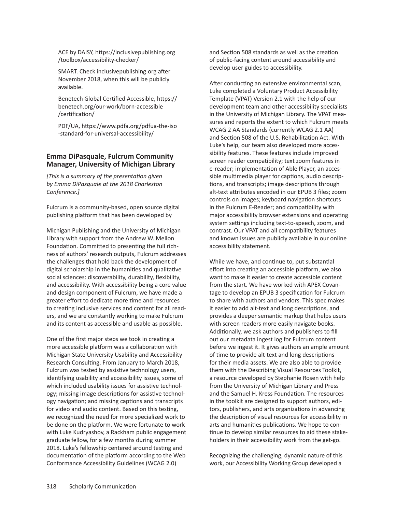ACE by DAISY, https://inclusivepublishing.org /toolbox/accessibility-checker/

SMART. Check inclusivepublishing.org after November 2018, when this will be publicly available.

Benetech Global Certified Accessible, https:// benetech.org/our-work/born-accessible /certification/

PDF/UA, https://www.pdfa.org/pdfua-the-iso -standard-for-universal-accessibility/

#### **Emma DiPasquale, Fulcrum Community Manager, University of Michigan Library**

*[This is a summary of the presentation given by Emma DiPasquale at the 2018 Charleston Conference.]*

Fulcrum is a community-based, open source digital publishing platform that has been developed by

Michigan Publishing and the University of Michigan Library with support from the Andrew W. Mellon Foundation. Committed to presenting the full richness of authors' research outputs, Fulcrum addresses the challenges that hold back the development of digital scholarship in the humanities and qualitative social sciences: discoverability, durability, flexibility, and accessibility. With accessibility being a core value and design component of Fulcrum, we have made a greater effort to dedicate more time and resources to creating inclusive services and content for all readers, and we are constantly working to make Fulcrum and its content as accessible and usable as possible.

One of the first major steps we took in creating a more accessible platform was a collaboration with Michigan State University Usability and Accessibility Research Consulting. From January to March 2018, Fulcrum was tested by assistive technology users, identifying usability and accessibility issues, some of which included usability issues for assistive technology; missing image descriptions for assistive technology navigation; and missing captions and transcripts for video and audio content. Based on this testing, we recognized the need for more specialized work to be done on the platform. We were fortunate to work with Luke Kudryashov, a Rackham public engagement graduate fellow, for a few months during summer 2018. Luke's fellowship centered around testing and documentation of the platform according to the Web Conformance Accessibility Guidelines (WCAG 2.0)

and Section 508 standards as well as the creation of public-facing content around accessibility and develop user guides to accessibility.

After conducting an extensive environmental scan, Luke completed a Voluntary Product Accessibility Template (VPAT) Version 2.1 with the help of our development team and other accessibility specialists in the University of Michigan Library. The VPAT measures and reports the extent to which Fulcrum meets WCAG 2 AA Standards (currently WCAG 2.1 AA) and Section 508 of the U.S. Rehabilitation Act. With Luke's help, our team also developed more accessibility features. These features include improved screen reader compatibility; text zoom features in e-reader; implementation of Able Player, an accessible multimedia player for captions, audio descriptions, and transcripts; image descriptions through alt-text attributes encoded in our EPUB 3 files; zoom controls on images; keyboard navigation shortcuts in the Fulcrum E-Reader; and compatibility with major accessibility browser extensions and operating system settings including text-to-speech, zoom, and contrast. Our VPAT and all compatibility features and known issues are publicly available in our online accessibility statement.

While we have, and continue to, put substantial effort into creating an accessible platform, we also want to make it easier to create accessible content from the start. We have worked with APEX Covantage to develop an EPUB 3 specification for Fulcrum to share with authors and vendors. This spec makes it easier to add alt-text and long descriptions, and provides a deeper semantic markup that helps users with screen readers more easily navigate books. Additionally, we ask authors and publishers to fill out our metadata ingest log for Fulcrum content before we ingest it. It gives authors an ample amount of time to provide alt-text and long descriptions for their media assets. We are also able to provide them with the Describing Visual Resources Toolkit, a resource developed by Stephanie Rosen with help from the University of Michigan Library and Press and the Samuel H. Kress Foundation. The resources in the toolkit are designed to support authors, editors, publishers, and arts organizations in advancing the description of visual resources for accessibility in arts and humanities publications. We hope to continue to develop similar resources to aid these stakeholders in their accessibility work from the get-go.

Recognizing the challenging, dynamic nature of this work, our Accessibility Working Group developed a